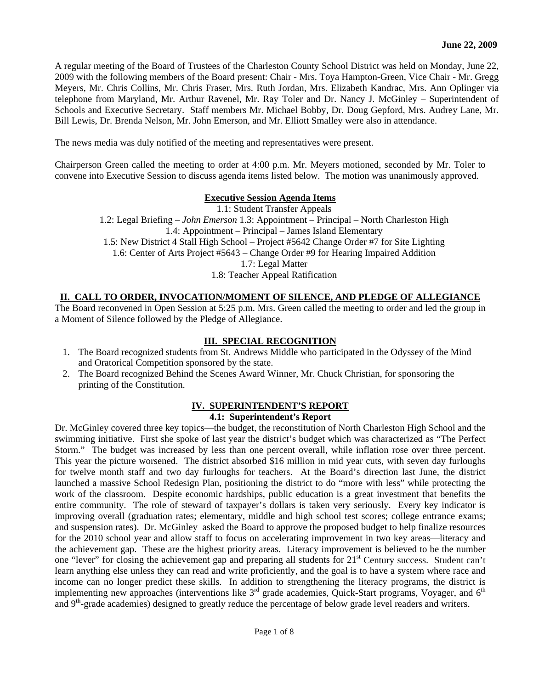A regular meeting of the Board of Trustees of the Charleston County School District was held on Monday, June 22, 2009 with the following members of the Board present: Chair - Mrs. Toya Hampton-Green, Vice Chair - Mr. Gregg Meyers, Mr. Chris Collins, Mr. Chris Fraser, Mrs. Ruth Jordan, Mrs. Elizabeth Kandrac, Mrs. Ann Oplinger via telephone from Maryland, Mr. Arthur Ravenel, Mr. Ray Toler and Dr. Nancy J. McGinley – Superintendent of Schools and Executive Secretary. Staff members Mr. Michael Bobby, Dr. Doug Gepford, Mrs. Audrey Lane, Mr. Bill Lewis, Dr. Brenda Nelson, Mr. John Emerson, and Mr. Elliott Smalley were also in attendance.

The news media was duly notified of the meeting and representatives were present.

Chairperson Green called the meeting to order at 4:00 p.m. Mr. Meyers motioned, seconded by Mr. Toler to convene into Executive Session to discuss agenda items listed below. The motion was unanimously approved.

#### **Executive Session Agenda Items**

1.1: Student Transfer Appeals 1.2: Legal Briefing – *John Emerson* 1.3: Appointment – Principal – North Charleston High 1.4: Appointment – Principal – James Island Elementary 1.5: New District 4 Stall High School – Project #5642 Change Order #7 for Site Lighting 1.6: Center of Arts Project #5643 – Change Order #9 for Hearing Impaired Addition 1.7: Legal Matter 1.8: Teacher Appeal Ratification

### **II. CALL TO ORDER, INVOCATION/MOMENT OF SILENCE, AND PLEDGE OF ALLEGIANCE**

The Board reconvened in Open Session at 5:25 p.m. Mrs. Green called the meeting to order and led the group in a Moment of Silence followed by the Pledge of Allegiance.

## **III. SPECIAL RECOGNITION**

- 1. The Board recognized students from St. Andrews Middle who participated in the Odyssey of the Mind and Oratorical Competition sponsored by the state.
- 2. The Board recognized Behind the Scenes Award Winner, Mr. Chuck Christian, for sponsoring the printing of the Constitution.

#### **IV. SUPERINTENDENT'S REPORT 4.1: Superintendent's Report**

Dr. McGinley covered three key topics—the budget, the reconstitution of North Charleston High School and the swimming initiative. First she spoke of last year the district's budget which was characterized as "The Perfect Storm." The budget was increased by less than one percent overall, while inflation rose over three percent. This year the picture worsened. The district absorbed \$16 million in mid year cuts, with seven day furloughs for twelve month staff and two day furloughs for teachers. At the Board's direction last June, the district launched a massive School Redesign Plan, positioning the district to do "more with less" while protecting the work of the classroom. Despite economic hardships, public education is a great investment that benefits the entire community. The role of steward of taxpayer's dollars is taken very seriously. Every key indicator is improving overall (graduation rates; elementary, middle and high school test scores; college entrance exams; and suspension rates). Dr. McGinley asked the Board to approve the proposed budget to help finalize resources for the 2010 school year and allow staff to focus on accelerating improvement in two key areas—literacy and the achievement gap. These are the highest priority areas. Literacy improvement is believed to be the number one "lever" for closing the achievement gap and preparing all students for 21<sup>st</sup> Century success. Student can't learn anything else unless they can read and write proficiently, and the goal is to have a system where race and income can no longer predict these skills. In addition to strengthening the literacy programs, the district is implementing new approaches (interventions like  $3<sup>rd</sup>$  grade academies, Quick-Start programs, Voyager, and  $6<sup>th</sup>$ and 9<sup>th</sup>-grade academies) designed to greatly reduce the percentage of below grade level readers and writers.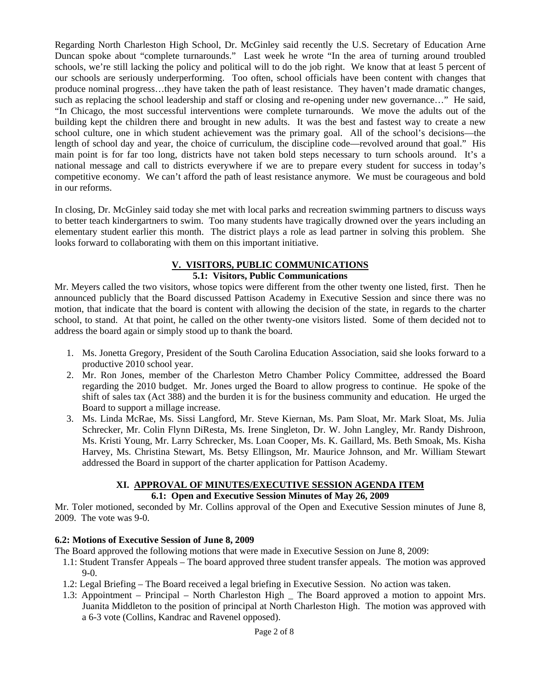Regarding North Charleston High School, Dr. McGinley said recently the U.S. Secretary of Education Arne Duncan spoke about "complete turnarounds." Last week he wrote "In the area of turning around troubled schools, we're still lacking the policy and political will to do the job right. We know that at least 5 percent of our schools are seriously underperforming. Too often, school officials have been content with changes that produce nominal progress…they have taken the path of least resistance. They haven't made dramatic changes, such as replacing the school leadership and staff or closing and re-opening under new governance..." He said, "In Chicago, the most successful interventions were complete turnarounds. We move the adults out of the building kept the children there and brought in new adults. It was the best and fastest way to create a new school culture, one in which student achievement was the primary goal. All of the school's decisions—the length of school day and year, the choice of curriculum, the discipline code—revolved around that goal." His main point is for far too long, districts have not taken bold steps necessary to turn schools around. It's a national message and call to districts everywhere if we are to prepare every student for success in today's competitive economy. We can't afford the path of least resistance anymore. We must be courageous and bold in our reforms.

In closing, Dr. McGinley said today she met with local parks and recreation swimming partners to discuss ways to better teach kindergartners to swim. Too many students have tragically drowned over the years including an elementary student earlier this month. The district plays a role as lead partner in solving this problem. She looks forward to collaborating with them on this important initiative.

#### **V. VISITORS, PUBLIC COMMUNICATIONS 5.1: Visitors, Public Communications**

Mr. Meyers called the two visitors, whose topics were different from the other twenty one listed, first. Then he announced publicly that the Board discussed Pattison Academy in Executive Session and since there was no motion, that indicate that the board is content with allowing the decision of the state, in regards to the charter school, to stand. At that point, he called on the other twenty-one visitors listed. Some of them decided not to address the board again or simply stood up to thank the board.

- 1. Ms. Jonetta Gregory, President of the South Carolina Education Association, said she looks forward to a productive 2010 school year.
- 2. Mr. Ron Jones, member of the Charleston Metro Chamber Policy Committee, addressed the Board regarding the 2010 budget. Mr. Jones urged the Board to allow progress to continue. He spoke of the shift of sales tax (Act 388) and the burden it is for the business community and education. He urged the Board to support a millage increase.
- 3. Ms. Linda McRae, Ms. Sissi Langford, Mr. Steve Kiernan, Ms. Pam Sloat, Mr. Mark Sloat, Ms. Julia Schrecker, Mr. Colin Flynn DiResta, Ms. Irene Singleton, Dr. W. John Langley, Mr. Randy Dishroon, Ms. Kristi Young, Mr. Larry Schrecker, Ms. Loan Cooper, Ms. K. Gaillard, Ms. Beth Smoak, Ms. Kisha Harvey, Ms. Christina Stewart, Ms. Betsy Ellingson, Mr. Maurice Johnson, and Mr. William Stewart addressed the Board in support of the charter application for Pattison Academy.

# **XI. APPROVAL OF MINUTES/EXECUTIVE SESSION AGENDA ITEM**

## **6.1: Open and Executive Session Minutes of May 26, 2009**

Mr. Toler motioned, seconded by Mr. Collins approval of the Open and Executive Session minutes of June 8, 2009. The vote was 9-0.

## **6.2: Motions of Executive Session of June 8, 2009**

The Board approved the following motions that were made in Executive Session on June 8, 2009:

- 1.1: Student Transfer Appeals The board approved three student transfer appeals. The motion was approved 9-0.
- 1.2: Legal Briefing The Board received a legal briefing in Executive Session. No action was taken.
- 1.3: Appointment Principal North Charleston High \_ The Board approved a motion to appoint Mrs. Juanita Middleton to the position of principal at North Charleston High. The motion was approved with a 6-3 vote (Collins, Kandrac and Ravenel opposed).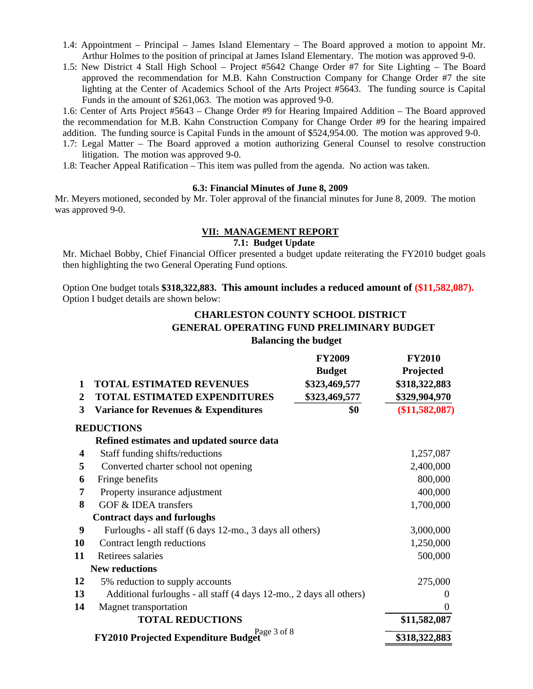- 1.4: Appointment Principal James Island Elementary The Board approved a motion to appoint Mr. Arthur Holmes to the position of principal at James Island Elementary. The motion was approved 9-0.
- 1.5: New District 4 Stall High School Project #5642 Change Order #7 for Site Lighting The Board approved the recommendation for M.B. Kahn Construction Company for Change Order #7 the site lighting at the Center of Academics School of the Arts Project #5643. The funding source is Capital Funds in the amount of \$261,063. The motion was approved 9-0.

1.6: Center of Arts Project #5643 – Change Order #9 for Hearing Impaired Addition – The Board approved the recommendation for M.B. Kahn Construction Company for Change Order #9 for the hearing impaired addition. The funding source is Capital Funds in the amount of \$524,954.00. The motion was approved 9-0.

- 1.7: Legal Matter The Board approved a motion authorizing General Counsel to resolve construction litigation. The motion was approved 9-0.
- 1.8: Teacher Appeal Ratification This item was pulled from the agenda. No action was taken.

#### **6.3: Financial Minutes of June 8, 2009**

Mr. Meyers motioned, seconded by Mr. Toler approval of the financial minutes for June 8, 2009. The motion was approved 9-0.

### **VII: MANAGEMENT REPORT**

#### **7.1: Budget Update**

Mr. Michael Bobby, Chief Financial Officer presented a budget update reiterating the FY2010 budget goals then highlighting the two General Operating Fund options.

Option One budget totals **\$318,322,883. This amount includes a reduced amount of (\$11,582,087).** Option I budget details are shown below:

## **CHARLESTON COUNTY SCHOOL DISTRICT GENERAL OPERATING FUND PRELIMINARY BUDGET Balancing the budget**

|    |                                                                     | <b>FY2009</b> | <b>FY2010</b>  |
|----|---------------------------------------------------------------------|---------------|----------------|
|    |                                                                     | <b>Budget</b> | Projected      |
| 1  | <b>TOTAL ESTIMATED REVENUES</b>                                     | \$323,469,577 | \$318,322,883  |
| 2  | <b>TOTAL ESTIMATED EXPENDITURES</b>                                 | \$323,469,577 | \$329,904,970  |
| 3  | Variance for Revenues & Expenditures                                | \$0           | (\$11,582,087) |
|    | <b>REDUCTIONS</b>                                                   |               |                |
|    | Refined estimates and updated source data                           |               |                |
| 4  | Staff funding shifts/reductions                                     |               | 1,257,087      |
| 5  | Converted charter school not opening                                |               | 2,400,000      |
| 6  | Fringe benefits                                                     |               | 800,000        |
| 7  | Property insurance adjustment                                       |               | 400,000        |
| 8  | GOF & IDEA transfers                                                |               | 1,700,000      |
|    | <b>Contract days and furloughs</b>                                  |               |                |
| 9  | Furloughs - all staff (6 days 12-mo., 3 days all others)            |               | 3,000,000      |
| 10 | Contract length reductions                                          |               | 1,250,000      |
| 11 | Retirees salaries                                                   |               | 500,000        |
|    | <b>New reductions</b>                                               |               |                |
| 12 | 5% reduction to supply accounts                                     |               | 275,000        |
| 13 | Additional furloughs - all staff (4 days 12-mo., 2 days all others) | 0             |                |
| 14 | Magnet transportation                                               |               | $\overline{0}$ |
|    | <b>TOTAL REDUCTIONS</b>                                             |               | \$11,582,087   |
|    | Page 3 of 8<br><b>FY2010 Projected Expenditure Budget</b>           |               | \$318,322,883  |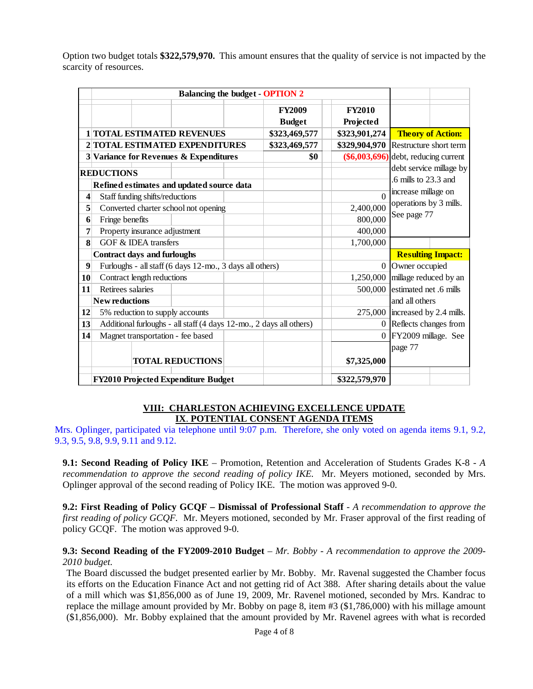Option two budget totals **\$322,579,970.** This amount ensures that the quality of service is not impacted by the scarcity of resources.

|    |                                                                     | <b>Balancing the budget - OPTION 2</b> |  |               |                                        |                                                                       |                          |
|----|---------------------------------------------------------------------|----------------------------------------|--|---------------|----------------------------------------|-----------------------------------------------------------------------|--------------------------|
|    |                                                                     |                                        |  | <b>FY2009</b> | <b>FY2010</b>                          |                                                                       |                          |
|    |                                                                     |                                        |  | <b>Budget</b> | Projected                              |                                                                       |                          |
|    | <b>1 TOTAL ESTIMATED REVENUES</b>                                   |                                        |  | \$323,469,577 | \$323,901,274                          |                                                                       | <b>Theory of Action:</b> |
|    | 2 TOTAL ESTIMATED EXPENDITURES                                      |                                        |  | \$323,469,577 | \$329,904,970 Restructure short term   |                                                                       |                          |
|    | 3 Variance for Revenues & Expenditures                              |                                        |  | \$0           | $(\$6,003,696)$ debt, reducing current |                                                                       |                          |
|    | <b>REDUCTIONS</b>                                                   |                                        |  |               |                                        |                                                                       | debt service millage by  |
|    | Refined estimates and updated source data                           |                                        |  |               |                                        | .6 mills to 23.3 and<br>increase millage on<br>operations by 3 mills. |                          |
| 4  | Staff funding shifts/reductions                                     |                                        |  |               | $\Omega$                               |                                                                       |                          |
| 5  | Converted charter school not opening                                |                                        |  |               | 2,400,000                              |                                                                       |                          |
| 6  | Fringe benefits                                                     |                                        |  |               | 800,000                                | See page 77                                                           |                          |
| 7  | Property insurance adjustment                                       |                                        |  |               | 400,000                                |                                                                       |                          |
| 8  | GOF & IDEA transfers                                                |                                        |  |               | 1,700,000                              |                                                                       |                          |
|    | <b>Contract days and furloughs</b>                                  |                                        |  |               |                                        |                                                                       | <b>Resulting Impact:</b> |
| 9  | Furloughs - all staff (6 days 12-mo., 3 days all others)            |                                        |  |               |                                        | 0 Owner occupied                                                      |                          |
| 10 | Contract length reductions                                          |                                        |  |               |                                        | 1,250,000 millage reduced by an                                       |                          |
| 11 | Retirees salaries                                                   |                                        |  |               | 500,000                                | estimated net .6 mills                                                |                          |
|    | <b>New reductions</b>                                               |                                        |  |               | and all others                         |                                                                       |                          |
| 12 | 5% reduction to supply accounts                                     |                                        |  |               | $275,000$ increased by 2.4 mills.      |                                                                       |                          |
| 13 | Additional furloughs - all staff (4 days 12-mo., 2 days all others) |                                        |  |               |                                        | 0 Reflects changes from                                               |                          |
| 14 | Magnet transportation - fee based                                   |                                        |  |               | 0 FY2009 millage. See                  |                                                                       |                          |
|    |                                                                     |                                        |  |               | page 77                                |                                                                       |                          |
|    |                                                                     | <b>TOTAL REDUCTIONS</b>                |  |               | \$7,325,000                            |                                                                       |                          |
|    | FY2010 Projected Expenditure Budget                                 |                                        |  |               | \$322,579,970                          |                                                                       |                          |

### **VIII: CHARLESTON ACHIEVING EXCELLENCE UPDATE IX**. **POTENTIAL CONSENT AGENDA ITEMS**

Mrs. Oplinger, participated via telephone until 9:07 p.m. Therefore, she only voted on agenda items 9.1, 9.2, 9.3, 9.5, 9.8, 9.9, 9.11 and 9.12.

**9.1: Second Reading of Policy IKE** – Promotion, Retention and Acceleration of Students Grades K-8 - *A recommendation to approve the second reading of policy IKE.* Mr. Meyers motioned, seconded by Mrs. Oplinger approval of the second reading of Policy IKE. The motion was approved 9-0.

**9.2: First Reading of Policy GCQF – Dismissal of Professional Staff** - *A recommendation to approve the first reading of policy GCQF.* Mr. Meyers motioned, seconded by Mr. Fraser approval of the first reading of policy GCQF. The motion was approved 9-0.

### **9.3: Second Reading of the FY2009-2010 Budget** – *Mr. Bobby* - *A recommendation to approve the 2009- 2010 budget.*

The Board discussed the budget presented earlier by Mr. Bobby. Mr. Ravenal suggested the Chamber focus its efforts on the Education Finance Act and not getting rid of Act 388. After sharing details about the value of a mill which was \$1,856,000 as of June 19, 2009, Mr. Ravenel motioned, seconded by Mrs. Kandrac to replace the millage amount provided by Mr. Bobby on page 8, item #3 (\$1,786,000) with his millage amount (\$1,856,000). Mr. Bobby explained that the amount provided by Mr. Ravenel agrees with what is recorded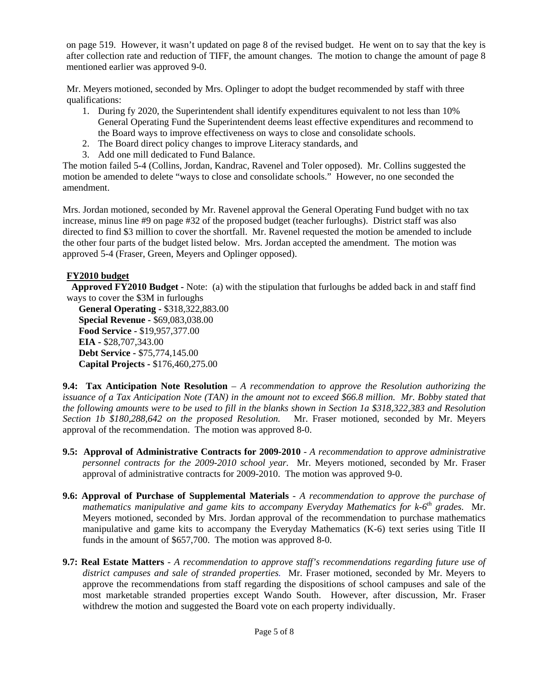on page 519. However, it wasn't updated on page 8 of the revised budget. He went on to say that the key is after collection rate and reduction of TIFF, the amount changes. The motion to change the amount of page 8 mentioned earlier was approved 9-0.

Mr. Meyers motioned, seconded by Mrs. Oplinger to adopt the budget recommended by staff with three qualifications:

- 1. During fy 2020, the Superintendent shall identify expenditures equivalent to not less than 10% General Operating Fund the Superintendent deems least effective expenditures and recommend to the Board ways to improve effectiveness on ways to close and consolidate schools.
- 2. The Board direct policy changes to improve Literacy standards, and
- 3. Add one mill dedicated to Fund Balance.

The motion failed 5-4 (Collins, Jordan, Kandrac, Ravenel and Toler opposed). Mr. Collins suggested the motion be amended to delete "ways to close and consolidate schools." However, no one seconded the amendment.

Mrs. Jordan motioned, seconded by Mr. Ravenel approval the General Operating Fund budget with no tax increase, minus line #9 on page #32 of the proposed budget (teacher furloughs). District staff was also directed to find \$3 million to cover the shortfall. Mr. Ravenel requested the motion be amended to include the other four parts of the budget listed below. Mrs. Jordan accepted the amendment. The motion was approved 5-4 (Fraser, Green, Meyers and Oplinger opposed).

## **FY2010 budget**

 **Approved FY2010 Budget -** Note: (a) with the stipulation that furloughs be added back in and staff find ways to cover the \$3M in furloughs

 **General Operating -** \$318,322,883.00  **Special Revenue -** \$69,083,038.00  **Food Service -** \$19,957,377.00  **EIA -** \$28,707,343.00  **Debt Service -** \$75,774,145.00  **Capital Projects -** \$176,460,275.00

**9.4: Tax Anticipation Note Resolution** – *A recommendation to approve the Resolution authorizing the issuance of a Tax Anticipation Note (TAN) in the amount not to exceed \$66.8 million. Mr. Bobby stated that the following amounts were to be used to fill in the blanks shown in Section 1a \$318,322,383 and Resolution Section 1b \$180,288,642 on the proposed Resolution.* Mr. Fraser motioned, seconded by Mr. Meyers approval of the recommendation. The motion was approved 8-0.

- **9.5: Approval of Administrative Contracts for 2009-2010** *A recommendation to approve administrative personnel contracts for the 2009-2010 school year.* Mr. Meyers motioned, seconded by Mr. Fraser approval of administrative contracts for 2009-2010. The motion was approved 9-0.
- **9.6: Approval of Purchase of Supplemental Materials** *A recommendation to approve the purchase of mathematics manipulative and game kits to accompany Everyday Mathematics for k-6th grades.* Mr. Meyers motioned, seconded by Mrs. Jordan approval of the recommendation to purchase mathematics manipulative and game kits to accompany the Everyday Mathematics (K-6) text series using Title II funds in the amount of \$657,700. The motion was approved 8-0.
- **9.7: Real Estate Matters** *A recommendation to approve staff's recommendations regarding future use of district campuses and sale of stranded properties.* Mr. Fraser motioned, seconded by Mr. Meyers to approve the recommendations from staff regarding the dispositions of school campuses and sale of the most marketable stranded properties except Wando South. However, after discussion, Mr. Fraser withdrew the motion and suggested the Board vote on each property individually.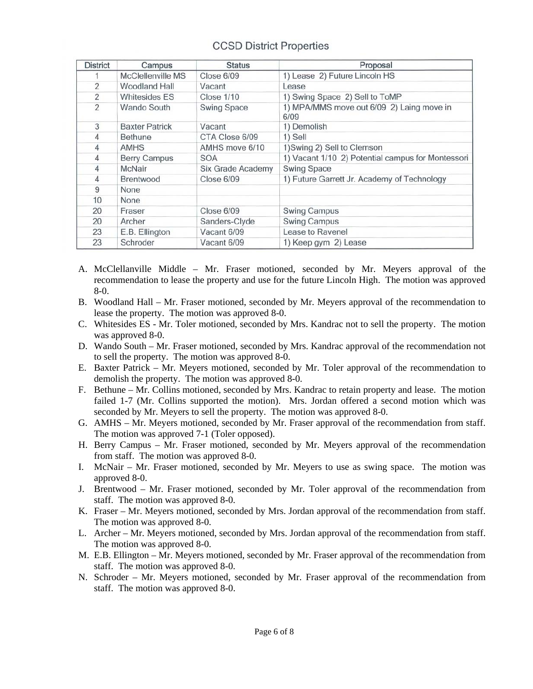# **CCSD District Properties**

| <b>District</b> | Campus                | <b>Status</b>            | Proposal                                          |
|-----------------|-----------------------|--------------------------|---------------------------------------------------|
|                 | McClellenville MS     | Close 6/09               | 1) Lease 2) Future Lincoln HS                     |
| 2               | Woodland Hall         | Vacant                   | Lease                                             |
| $\overline{2}$  | <b>Whitesides ES</b>  | <b>Close 1/10</b>        | 1) Swing Space 2) Sell to ToMP                    |
| $\overline{2}$  | Wando South           | <b>Swing Space</b>       | 1) MPA/MMS move out 6/09 2) Laing move in<br>6/09 |
| 3               | <b>Baxter Patrick</b> | Vacant                   | 1) Demolish                                       |
| 4               | <b>Bethune</b>        | CTA Close 6/09           | 1) Sell                                           |
| $\overline{4}$  | <b>AMHS</b>           | AMHS move 6/10           | 1) Swing 2) Sell to Clemson                       |
| 4               | <b>Berry Campus</b>   | <b>SOA</b>               | 1) Vacant 1/10 2) Potential campus for Montessori |
| 4               | <b>McNair</b>         | <b>Six Grade Academy</b> | <b>Swing Space</b>                                |
| 4               | <b>Brentwood</b>      | Close 6/09               | 1) Future Garrett Jr. Academy of Technology       |
| 9               | None                  |                          |                                                   |
| 10              | None                  |                          |                                                   |
| 20              | Fraser                | Close 6/09               | <b>Swing Campus</b>                               |
| 20              | Archer                | Sanders-Clyde            | <b>Swing Campus</b>                               |
| 23              | E.B. Ellington        | Vacant 6/09              | Lease to Ravenel                                  |
| 23              | Schroder              | Vacant 6/09              | 1) Keep gym 2) Lease                              |

- A. McClellanville Middle Mr. Fraser motioned, seconded by Mr. Meyers approval of the recommendation to lease the property and use for the future Lincoln High. The motion was approved 8-0.
- B. Woodland Hall Mr. Fraser motioned, seconded by Mr. Meyers approval of the recommendation to lease the property. The motion was approved 8-0.
- C. Whitesides ES Mr. Toler motioned, seconded by Mrs. Kandrac not to sell the property. The motion was approved 8-0.
- D. Wando South Mr. Fraser motioned, seconded by Mrs. Kandrac approval of the recommendation not to sell the property. The motion was approved 8-0.
- E. Baxter Patrick Mr. Meyers motioned, seconded by Mr. Toler approval of the recommendation to demolish the property. The motion was approved 8-0.
- F. Bethune Mr. Collins motioned, seconded by Mrs. Kandrac to retain property and lease. The motion failed 1-7 (Mr. Collins supported the motion). Mrs. Jordan offered a second motion which was seconded by Mr. Meyers to sell the property. The motion was approved 8-0.
- G. AMHS Mr. Meyers motioned, seconded by Mr. Fraser approval of the recommendation from staff. The motion was approved 7-1 (Toler opposed).
- H. Berry Campus Mr. Fraser motioned, seconded by Mr. Meyers approval of the recommendation from staff. The motion was approved 8-0.
- I. McNair Mr. Fraser motioned, seconded by Mr. Meyers to use as swing space. The motion was approved 8-0.
- J. Brentwood Mr. Fraser motioned, seconded by Mr. Toler approval of the recommendation from staff. The motion was approved 8-0.
- K. Fraser Mr. Meyers motioned, seconded by Mrs. Jordan approval of the recommendation from staff. The motion was approved 8-0.
- L. Archer Mr. Meyers motioned, seconded by Mrs. Jordan approval of the recommendation from staff. The motion was approved 8-0.
- M. E.B. Ellington Mr. Meyers motioned, seconded by Mr. Fraser approval of the recommendation from staff. The motion was approved 8-0.
- N. Schroder Mr. Meyers motioned, seconded by Mr. Fraser approval of the recommendation from staff. The motion was approved 8-0.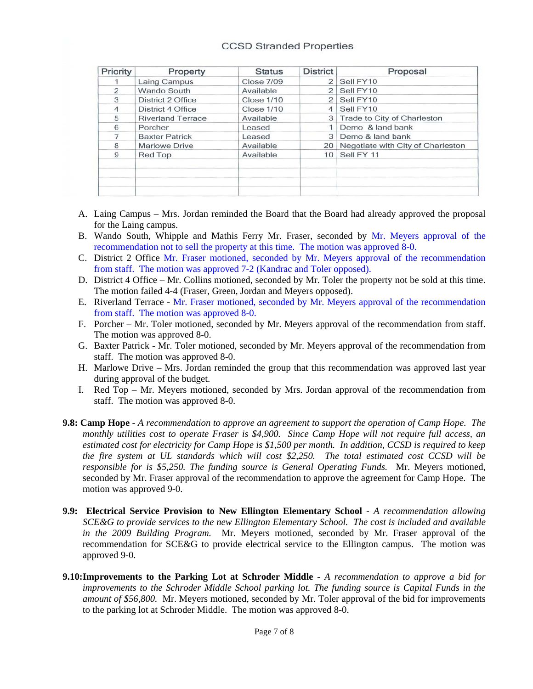### **CCSD Stranded Properties**

| Priority      | Property                 | <b>Status</b>     | <b>District</b> | Proposal                          |
|---------------|--------------------------|-------------------|-----------------|-----------------------------------|
|               | Laing Campus             | <b>Close 7/09</b> | $\overline{2}$  | Sell FY10                         |
| $\mathcal{P}$ | Wando South              | Available         | $\mathcal{P}$   | Sell FY10                         |
| 3             | District 2 Office        | <b>Close 1/10</b> | $\mathcal{P}$   | Sell FY10                         |
| 4             | District 4 Office        | <b>Close 1/10</b> |                 | Sell FY10                         |
| 5             | <b>Riverland Terrace</b> | Available         |                 | 3 Trade to City of Charleston     |
| 6             | Porcher                  | Leased            |                 | Demo & land bank                  |
| 7             | <b>Baxter Patrick</b>    | Leased            |                 | Demo & land bank                  |
| 8             | <b>Marlowe Drive</b>     | Available         | 20              | Negotiate with City of Charleston |
| 9             | Red Top                  | Available         | 10 <sup>1</sup> | Sell FY 11                        |
|               |                          |                   |                 |                                   |
|               |                          |                   |                 |                                   |

- A. Laing Campus Mrs. Jordan reminded the Board that the Board had already approved the proposal for the Laing campus.
- B. Wando South, Whipple and Mathis Ferry Mr. Fraser, seconded by Mr. Meyers approval of the recommendation not to sell the property at this time. The motion was approved 8-0.
- C. District 2 Office Mr. Fraser motioned, seconded by Mr. Meyers approval of the recommendation from staff. The motion was approved 7-2 (Kandrac and Toler opposed).
- D. District 4 Office Mr. Collins motioned, seconded by Mr. Toler the property not be sold at this time. The motion failed 4-4 (Fraser, Green, Jordan and Meyers opposed).
- E. Riverland Terrace Mr. Fraser motioned, seconded by Mr. Meyers approval of the recommendation from staff. The motion was approved 8-0.
- F. Porcher Mr. Toler motioned, seconded by Mr. Meyers approval of the recommendation from staff. The motion was approved 8-0.
- G. Baxter Patrick Mr. Toler motioned, seconded by Mr. Meyers approval of the recommendation from staff. The motion was approved 8-0.
- H. Marlowe Drive Mrs. Jordan reminded the group that this recommendation was approved last year during approval of the budget.
- I. Red Top Mr. Meyers motioned, seconded by Mrs. Jordan approval of the recommendation from staff. The motion was approved 8-0.
- **9.8: Camp Hope** *A recommendation to approve an agreement to support the operation of Camp Hope. The monthly utilities cost to operate Fraser is \$4,900. Since Camp Hope will not require full access, an estimated cost for electricity for Camp Hope is \$1,500 per month. In addition, CCSD is required to keep the fire system at UL standards which will cost \$2,250. The total estimated cost CCSD will be responsible for is \$5,250. The funding source is General Operating Funds.* Mr. Meyers motioned, seconded by Mr. Fraser approval of the recommendation to approve the agreement for Camp Hope. The motion was approved 9-0.
- **9.9: Electrical Service Provision to New Ellington Elementary School** *A recommendation allowing SCE&G to provide services to the new Ellington Elementary School. The cost is included and available in the 2009 Building Program.* Mr. Meyers motioned, seconded by Mr. Fraser approval of the recommendation for SCE&G to provide electrical service to the Ellington campus. The motion was approved 9-0.
- **9.10:Improvements to the Parking Lot at Schroder Middle**  *A recommendation to approve a bid for improvements to the Schroder Middle School parking lot. The funding source is Capital Funds in the amount of \$56,800.* Mr. Meyers motioned, seconded by Mr. Toler approval of the bid for improvements to the parking lot at Schroder Middle. The motion was approved 8-0.